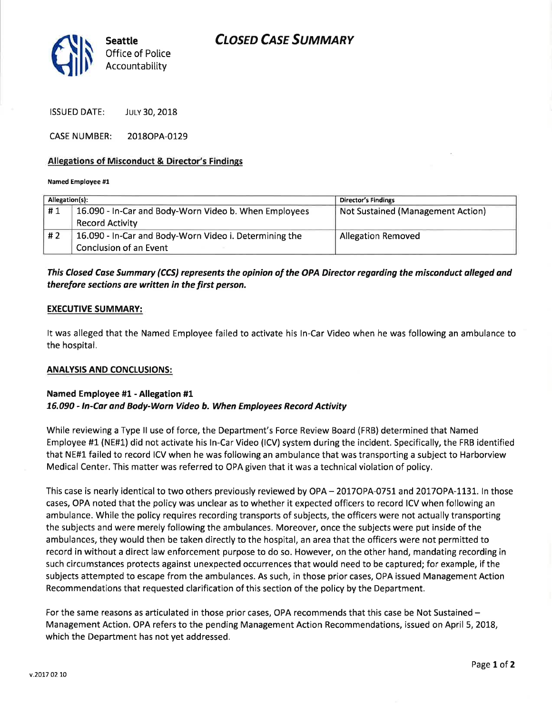# **CLOSED CASE SUMMARY**



ISSUED DATE: JULY 30, 2018

CASE NUMBER: 2018OPA-0129

### Allegations of Misconduct & Director's Findings

### Named Employee #1

| Allegation(s): |                                                        | <b>Director's Findings</b>               |
|----------------|--------------------------------------------------------|------------------------------------------|
| #1             | 16.090 - In-Car and Body-Worn Video b. When Employees  | <b>Not Sustained (Management Action)</b> |
|                | <b>Record Activity</b>                                 |                                          |
| #2             | 16.090 - In-Car and Body-Worn Video i. Determining the | <b>Allegation Removed</b>                |
|                | Conclusion of an Event                                 |                                          |

# This Closed Case Summary (CCS) represents the opinion of the OPA Director regarding the misconduct olleged and therefore sections are written in the first person.

### EXECUTIVE SUMMARY:

It was alleged that the Named Employee failed to activate his ln-Car Video when he was following an ambulance to the hospital.

## ANALYSIS AND CONCLUSIONS:

## Named Employee #1 - Allegation #1 76,090 - ln-Cdr and Body-Worn Video b. When Employees Record Activity

While reviewing a Type ll use of force, the Department's Force Review Board (FRB) determined that Named Employee #1 (NE#1) did not activate his ln-Car Video (lCV) system during the incident. Specifically, the FRB identified that NE#1 failed to record ICV when he was following an ambulance that was transporting a subject to Harborview Medical Center. This matter was referred to OPA given that it was a technical violation of policy.

This case is nearly identical to two others previously reviewed by OPA - 2017OPA-0751 and 2017OPA-1131. In those cases, OPA noted that the policy was unclear as to whether it expected officers to record ICV when following an ambulance. While the policy requires recording transports of subjects, the officers were not actually transporting the subjects and were merely following the ambulances. Moreover, once the subjects were put inside of the ambulances, they would then be taken directly to the hospital, an area that the officers were not permitted to record in without a direct law enforcement purpose to do so. However, on the other hand, mandating recording in such circumstances protects against unexpected occurrences that would need to be captured; for example, if the subjects attempted to escape from the ambulances. As such, in those prior cases, OPA issued Management Action Recommendations that requested clarification of this section of the policy by the Department.

For the same reasons as articulated in those prior cases, OPA recommends that this case be Not Sustained – Management Action. OPA refers to the pending Management Action Recommendations, issued on April 5,2078, which the Department has not yet addressed.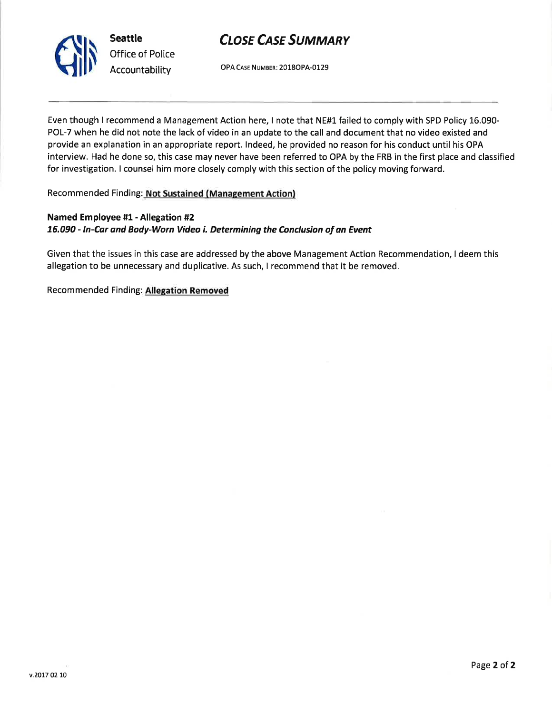

# **CLOSE CASE SUMMARY**

OPA CAsE NUMBER: 2018OPA-O129

Even though I recommend a Management Action here, I note that NE#1 failed to comply with SPD Policy 15.090- POL-7 when he did not note the lack of video in an update to the call and document that no video existed and provide an explanation in an appropriate report. lndeed, he provided no reason for his conduct until his OPA interview. Had he done so, this case may never have been referred to OPA by the FRB in the first place and classified for investigation. I counsel him more closely comply with this section of the policy moving forward.

Recommended Finding: Not Sustained (Management Action)

# Named Employee #1 - Allegation #2 76.090 - ln-Car ond Body-Worn Video i. Determining the Conclusion of an Event

Given that the issues in this case are addressed by the above Management Action Recommendation, I deem this allegation to be unnecessary and duplicative. As such, I recommend that it be removed.

Recommended Finding: Allegation Removed